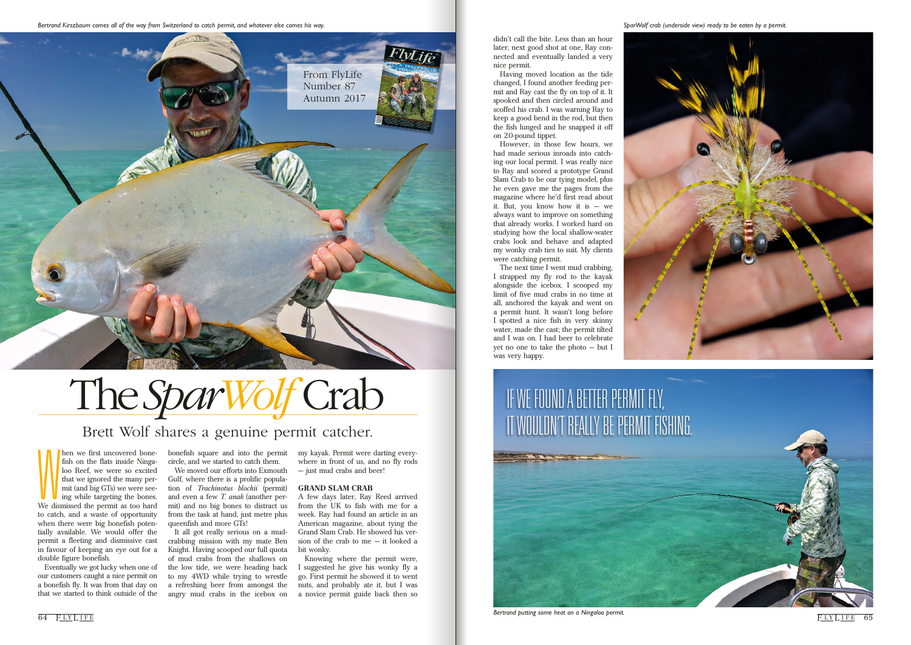The main we first uncovered bone-<br>fish on the flats inside Ninga-<br>loo Reef, we were so excited<br>that we ignored the many per-<br>mit (and big GTs) we were see-<br>ing while targeting the bones.<br>We dismissed the permit as too hard hen we first uncovered bonefish on the flats inside Ningaloo Reef, we were so excited that we ignored the many permit (and big GTs) we were seeing while targeting the bones. to catch, and a waste of opportunity when there were big bonefish potentially available. We would offer the permit a fleeting and dismissive cast in favour of keeping an eye out for a double figure bonefish.

Eventually we got lucky when one of our customers caught a nice permit on a bonefish fly. It was from that day on that we started to think outside of the

It all got really serious on a mudcrabbing mission with my mate Ben Knight. Having scooped our full quota of mud crabs from the shallows on the low tide, we were heading back to my 4WD while trying to wrestle a refreshing beer from amongst the angry mud crabs in the icebox on

bonefish square and into the permit circle, and we started to catch them.

We moved our efforts into Exmouth Gulf, where there is a prolific population of *Trachinotus blochii* (permit) and even a few *T. anak* (another permit) and no big bones to distract us from the task at hand, just metre plus queenfish and more GTs!

my kayak. Permit were darting everywhere in front of us, and no fly rods — just mud crabs and beer!

### **GRAND SLAM CRAB**

A few days later, Ray Reed arrived from the UK to fish with me for a week. Ray had found an article in an American magazine, about tying the Grand Slam Crab. He showed his version of the crab to me — it looked a bit wonky.

Knowing where the permit were, I suggested he give his wonky fly a go. First permit he showed it to went nuts, and probably ate it, but I was a novice permit guide back then so

didn't call the bite. Less than an hour later, next good shot at one, Ray connected and eventually landed a very nice permit.

Having moved location as the tide changed, I found another feeding permit and Ray cast the fly on top of it. It spooked and then circled around and scoffed his crab. I was warning Ray to keep a good bend in the rod, but then the fish lunged and he snapped it off on 20-pound tippet.

However, in those few hours, we had made serious inroads into catching our local permit. I was really nice to Ray and scored a prototype Grand Slam Crab to be our tying model, plus he even gave me the pages from the magazine where he'd first read about it. But, you know how it is — we always want to improve on something that already works. I worked hard on studying how the local shallow-water crabs look and behave and adapted my wonky crab ties to suit. My clients were catching permit.

The next time I went mud crabbing, I strapped my fly rod to the kayak alongside the icebox. I scooped my limit of five mud crabs in no time at all, anchored the kayak and went on a permit hunt. It wasn't long before I spotted a nice fish in very skinny water, made the cast; the permit tilted and I was on. I had beer to celebrate yet no one to take the photo — but I was very happy.

## Brett Wolf shares a genuine permit catcher.

## The *SparWolf* Crab

*Bertrand Kirszbaum comes all of the way from Switzerland to catch permit, and whatever else comes his way. SparWolf crab (underside view) ready to be eaten by a permit.*



*Bertrand putting some heat on a Ningaloo permit.*



 $64$  FLYLIFE 65

# IF WE FOUND A BETTER PERMIT FLY,